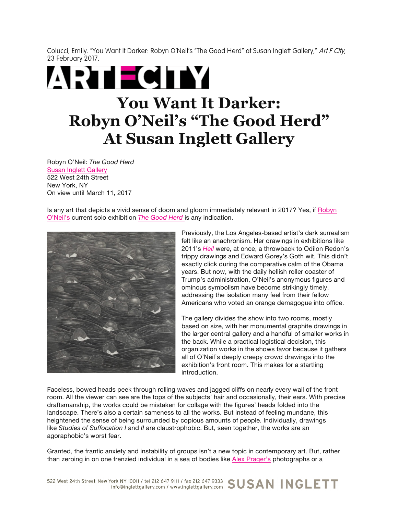Colucci, Emily. "You Want It Darker: Robyn O'Neil's "The Good Herd" at Susan Inglett Gallery," Art F City, 23 February 2017.

## **ARTECITY You Want It Darker: Robyn O'Neil's "The Good Herd" At Susan Inglett Gallery**

Robyn O'Neil: *The Good Herd* Susan Inglett Gallery 522 West 24th Street New York, NY On view until March 11, 2017

Is any art that depicts a vivid sense of doom and gloom immediately relevant in 2017? Yes, if Robyn O'Neil's current solo exhibition *The Good Herd* is any indication.



Previously, the Los Angeles-based artist's dark surrealism felt like an anachronism. Her drawings in exhibitions like 2011's *Hell* were, at once, a throwback to Odilon Redon's trippy drawings and Edward Gorey's Goth wit. This didn't exactly click during the comparative calm of the Obama years. But now, with the daily hellish roller coaster of Trump's administration, O'Neil's anonymous figures and ominous symbolism have become strikingly timely, addressing the isolation many feel from their fellow Americans who voted an orange demagogue into office.

The gallery divides the show into two rooms, mostly based on size, with her monumental graphite drawings in the larger central gallery and a handful of smaller works in the back. While a practical logistical decision, this organization works in the shows favor because it gathers all of O'Neil's deeply creepy crowd drawings into the exhibition's front room. This makes for a startling introduction.

Faceless, bowed heads peek through rolling waves and jagged cliffs on nearly every wall of the front room. All the viewer can see are the tops of the subjects' hair and occasionally, their ears. With precise draftsmanship, the works could be mistaken for collage with the figures' heads folded into the landscape. There's also a certain sameness to all the works. But instead of feeling mundane, this heightened the sense of being surrounded by copious amounts of people. Individually, drawings like *Studies of Suffocation I* and *II* are claustrophobic. But, seen together, the works are an agoraphobic's worst fear.

Granted, the frantic anxiety and instability of groups isn't a new topic in contemporary art. But, rather than zeroing in on one frenzied individual in a sea of bodies like Alex Prager's photographs or a